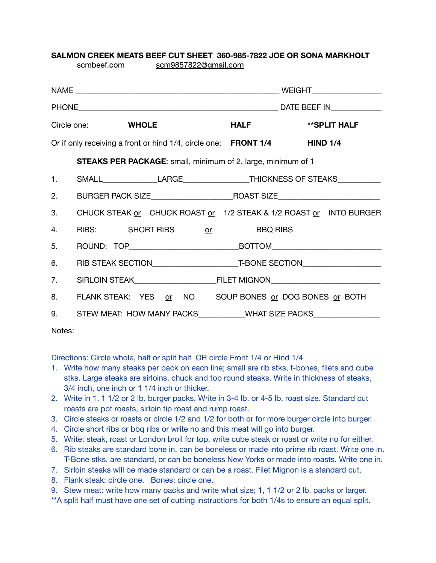## **SALMON CREEK MEATS BEEF CUT SHEET 360-985-7822 JOE OR SONA MARKHOLT**  [scmbeef.com](http://scmbeef.com) [scm9857822@gmail.com](mailto:scm7822@hughes.net)

| Circle one: WHOLE                                                        |  |                                                                                   | <b>HALF</b> | **SPLIT HALF |  |
|--------------------------------------------------------------------------|--|-----------------------------------------------------------------------------------|-------------|--------------|--|
| Or if only receiving a front or hind 1/4, circle one: FRONT 1/4 HIND 1/4 |  |                                                                                   |             |              |  |
| <b>STEAKS PER PACKAGE:</b> small, minimum of 2, large, minimum of 1      |  |                                                                                   |             |              |  |
|                                                                          |  | 1. SMALL_________________LARGE_______________________THICKNESS OF STEAKS_________ |             |              |  |
| 2.                                                                       |  |                                                                                   |             |              |  |
| 3.                                                                       |  | CHUCK STEAK or CHUCK ROAST or 1/2 STEAK & 1/2 ROAST or INTO BURGER                |             |              |  |
| 4.                                                                       |  | RIBS: SHORT RIBS or BBQ RIBS                                                      |             |              |  |
| 5.                                                                       |  |                                                                                   |             |              |  |
| 6.                                                                       |  |                                                                                   |             |              |  |
| 7.                                                                       |  | SIRLOIN STEAK FILET MIGNON FILET MIGNON                                           |             |              |  |
| 8.                                                                       |  | FLANK STEAK: YES or NO SOUP BONES or DOG BONES or BOTH                            |             |              |  |
| 9.                                                                       |  | STEW MEAT: HOW MANY PACKS___________WHAT SIZE PACKS_____________________________  |             |              |  |
|                                                                          |  |                                                                                   |             |              |  |

Notes:

Directions: Circle whole, half or split half OR circle Front 1/4 or Hind 1/4

- 1. Write how many steaks per pack on each line; small are rib stks, t-bones, filets and cube stks. Large steaks are sirloins, chuck and top round steaks. Write in thickness of steaks, 3/4 inch, one inch or 1 1/4 inch or thicker.
- 2. Write in 1, 1 1/2 or 2 lb. burger packs. Write in 3-4 lb. or 4-5 lb. roast size. Standard cut roasts are pot roasts, sirloin tip roast and rump roast.
- 3. Circle steaks or roasts or circle 1/2 and 1/2 for both or for more burger circle into burger.
- 4. Circle short ribs or bbq ribs or write no and this meat will go into burger.
- 5. Write: steak, roast or London broil for top, write cube steak or roast or write no for either.
- 6. Rib steaks are standard bone in, can be boneless or made into prime rib roast. Write one in. T-Bone stks. are standard, or can be boneless New Yorks or made into roasts. Write one in.
- 7. Sirloin steaks will be made standard or can be a roast. Filet Mignon is a standard cut.
- 8. Flank steak: circle one. Bones: circle one.
- 9. Stew meat: write how many packs and write what size; 1, 1 1/2 or 2 lb. packs or larger.
- \*\*A split half must have one set of cutting instructions for both 1/4s to ensure an equal split.